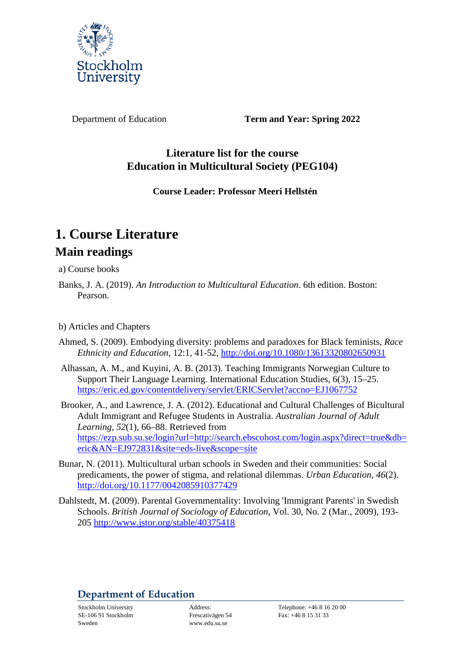

Department of Education **Term and Year: Spring 2022**

## **Literature list for the course Education in Multicultural Society (PEG104)**

### **Course Leader: Professor Meeri Hellstén**

# **1. Course Literature Main readings**

a) Course books

Banks, J. A. (2019). *An Introduction to Multicultural Education*. 6th edition. Boston: Pearson.

### b) Articles and Chapters

- Ahmed, S. (2009). Embodying diversity: problems and paradoxes for Black feminists, *Race Ethnicity and Education*, 12:1, 41-52,<http://doi.org/10.1080/13613320802650931>
- Alhassan, A. M., and Kuyini, A. B. (2013). Teaching Immigrants Norwegian Culture to Support Their Language Learning. International Education Studies, 6(3), 15–25. <https://eric.ed.gov/contentdelivery/servlet/ERICServlet?accno=EJ1067752>
- Brooker, A., and Lawrence, J. A. (2012). Educational and Cultural Challenges of Bicultural Adult Immigrant and Refugee Students in Australia. *Australian Journal of Adult Learning*, *52*(1), 66–88. Retrieved from [https://ezp.sub.su.se/login?url=http://search.ebscohost.com/login.aspx?direct=true&db=](https://ezp.sub.su.se/login?url=http://search.ebscohost.com/login.aspx?direct=true&db=eric&AN=EJ972831&site=eds-live&scope=site) [eric&AN=EJ972831&site=eds-live&scope=site](https://ezp.sub.su.se/login?url=http://search.ebscohost.com/login.aspx?direct=true&db=eric&AN=EJ972831&site=eds-live&scope=site)
- Bunar, N. (2011). Multicultural urban schools in Sweden and their communities: Social predicaments, the power of stigma, and relational dilemmas. *Urban Education*, *46*(2). <http://doi.org/10.1177/0042085910377429>
- Dahlstedt, M. (2009). Parental Governmentality: Involving 'Immigrant Parents' in Swedish Schools. *British Journal of Sociology of Education*, Vol. 30, No. 2 (Mar., 2009), 193- 205 <http://www.jstor.org/stable/40375418>

# **Department of Education**

SE-106 91 Stockholm Sweden

www.edu.su.se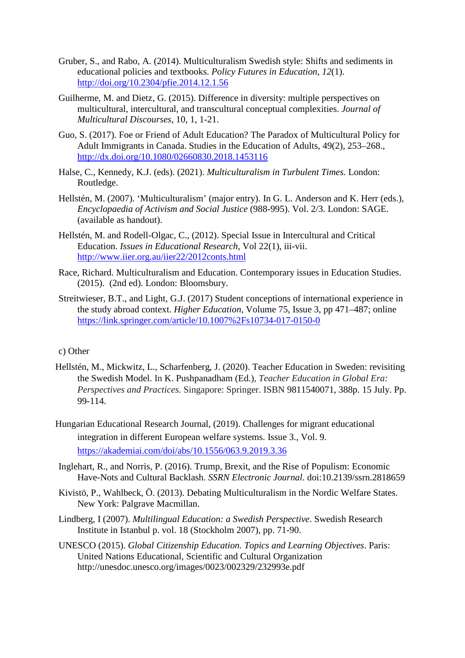- Gruber, S., and Rabo, A. (2014). Multiculturalism Swedish style: Shifts and sediments in educational policies and textbooks. *Policy Futures in Education*, *12*(1). <http://doi.org/10.2304/pfie.2014.12.1.56>
- Guilherme, M. and Dietz, G. (2015). Difference in diversity: multiple perspectives on multicultural, intercultural, and transcultural conceptual complexities. *Journal of Multicultural Discourses,* 10, 1, 1-21.
- Guo, S. (2017). Foe or Friend of Adult Education? The Paradox of Multicultural Policy for Adult Immigrants in Canada. Studies in the Education of Adults, 49(2), 253–268., <http://dx.doi.org/10.1080/02660830.2018.1453116>
- Halse, C., Kennedy, K.J. (eds). (2021). *Multiculturalism in Turbulent Times.* London: Routledge.
- Hellstén, M. (2007). 'Multiculturalism' (major entry). In G. L. Anderson and K. Herr (eds.), *Encyclopaedia of Activism and Social Justice* (988-995). Vol. 2/3. London: SAGE. (available as handout).
- Hellstén, M. and Rodell-Olgac, C., (2012). Special Issue in Intercultural and Critical Education. *Issues in Educational Research*, Vol 22(1), iii-vii. <http://www.iier.org.au/iier22/2012conts.html>
- Race, Richard. Multiculturalism and Education. Contemporary issues in Education Studies. (2015). (2nd ed). London: Bloomsbury.
- Streitwieser, B.T., and Light, G.J. (2017) Student conceptions of international experience in the study abroad context. *Higher Education,* Volume 75, Issue 3, pp 471–487; online <https://link.springer.com/article/10.1007%2Fs10734-017-0150-0>

#### c) Other

- Hellstén, M., Mickwitz, L., Scharfenberg, J. (2020). Teacher Education in Sweden: revisiting the Swedish Model. In K. Pushpanadham (Ed.), *Teacher Education in Global Era: Perspectives and Practices.* Singapore: Springer. ISBN 9811540071, 388p. 15 July. Pp. 99-114.
- Hungarian Educational Research Journal, (2019). Challenges for migrant educational integration in different European welfare systems. Issue 3., Vol. 9. <https://akademiai.com/doi/abs/10.1556/063.9.2019.3.36>
- Inglehart, R., and Norris, P. (2016). Trump, Brexit, and the Rise of Populism: Economic Have-Nots and Cultural Backlash. *SSRN Electronic Journal*. doi:10.2139/ssrn.2818659
- Kivistö, P., Wahlbeck, Ö. (2013). Debating Multiculturalism in the Nordic Welfare States. New York: Palgrave Macmillan.
- Lindberg, I (2007). *Multilingual Education: a Swedish Perspective*. Swedish Research Institute in Istanbul p. vol. 18 (Stockholm 2007), pp. 71-90.
- UNESCO (2015). *Global Citizenship Education. Topics and Learning Objectives*. Paris: United Nations Educational, Scientific and Cultural Organization http://unesdoc.unesco.org/images/0023/002329/232993e.pdf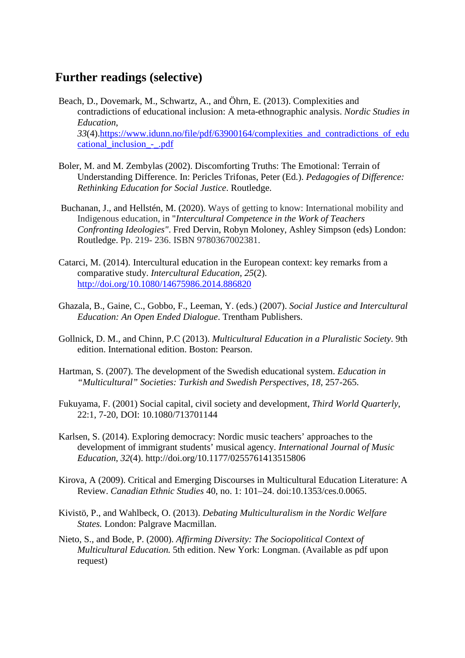# **Further readings (selective)**

- Beach, D., Dovemark, M., Schwartz, A., and Öhrn, E. (2013). Complexities and contradictions of educational inclusion: A meta-ethnographic analysis. *Nordic Studies in Education*, *33*(4)[.https://www.idunn.no/file/pdf/63900164/complexities\\_and\\_contradictions\\_of\\_edu](https://www.idunn.no/file/pdf/63900164/complexities_and_contradictions_of_educational_inclusion_-_.pdf) [cational\\_inclusion\\_-\\_.pdf](https://www.idunn.no/file/pdf/63900164/complexities_and_contradictions_of_educational_inclusion_-_.pdf)
- Boler, M. and M. Zembylas (2002). Discomforting Truths: The Emotional: Terrain of Understanding Difference. In: Pericles Trifonas, Peter (Ed.). *Pedagogies of Difference: Rethinking Education for Social Justice*. Routledge.
- Buchanan, J., and Hellstén, M. (2020). Ways of getting to know: International mobility and Indigenous education, in "*Intercultural Competence in the Work of Teachers Confronting Ideologies"*. Fred Dervin, Robyn Moloney, Ashley Simpson (eds) London: Routledge. Pp. 219- 236. ISBN 9780367002381.
- Catarci, M. (2014). Intercultural education in the European context: key remarks from a comparative study. *Intercultural Education*, *25*(2). <http://doi.org/10.1080/14675986.2014.886820>
- Ghazala, B., Gaine, C., Gobbo, F., Leeman, Y. (eds.) (2007). *Social Justice and Intercultural Education: An Open Ended Dialogue*. Trentham Publishers.
- Gollnick, D. M., and Chinn, P.C (2013). *Multicultural Education in a Pluralistic Society*. 9th edition. International edition. Boston: Pearson.
- Hartman, S. (2007). The development of the Swedish educational system. *Education in "Multicultural" Societies: Turkish and Swedish Perspectives*, *18*, 257-265.
- Fukuyama, F. (2001) Social capital, civil society and development, *Third World Quarterly*, 22:1, 7-20, DOI: 10.1080/713701144
- Karlsen, S. (2014). Exploring democracy: Nordic music teachers' approaches to the development of immigrant students' musical agency. *International Journal of Music Education*, *32*(4). http://doi.org/10.1177/0255761413515806
- Kirova, A (2009). Critical and Emerging Discourses in Multicultural Education Literature: A Review. *Canadian Ethnic Studies* 40, no. 1: 101–24. doi:10.1353/ces.0.0065.
- Kivistö, P., and Wahlbeck, O. (2013). *Debating Multiculturalism in the Nordic Welfare States.* London: Palgrave Macmillan.
- Nieto, S., and Bode, P. (2000). *Affirming Diversity: The Sociopolitical Context of Multicultural Education.* 5th edition. New York: Longman. (Available as pdf upon request)